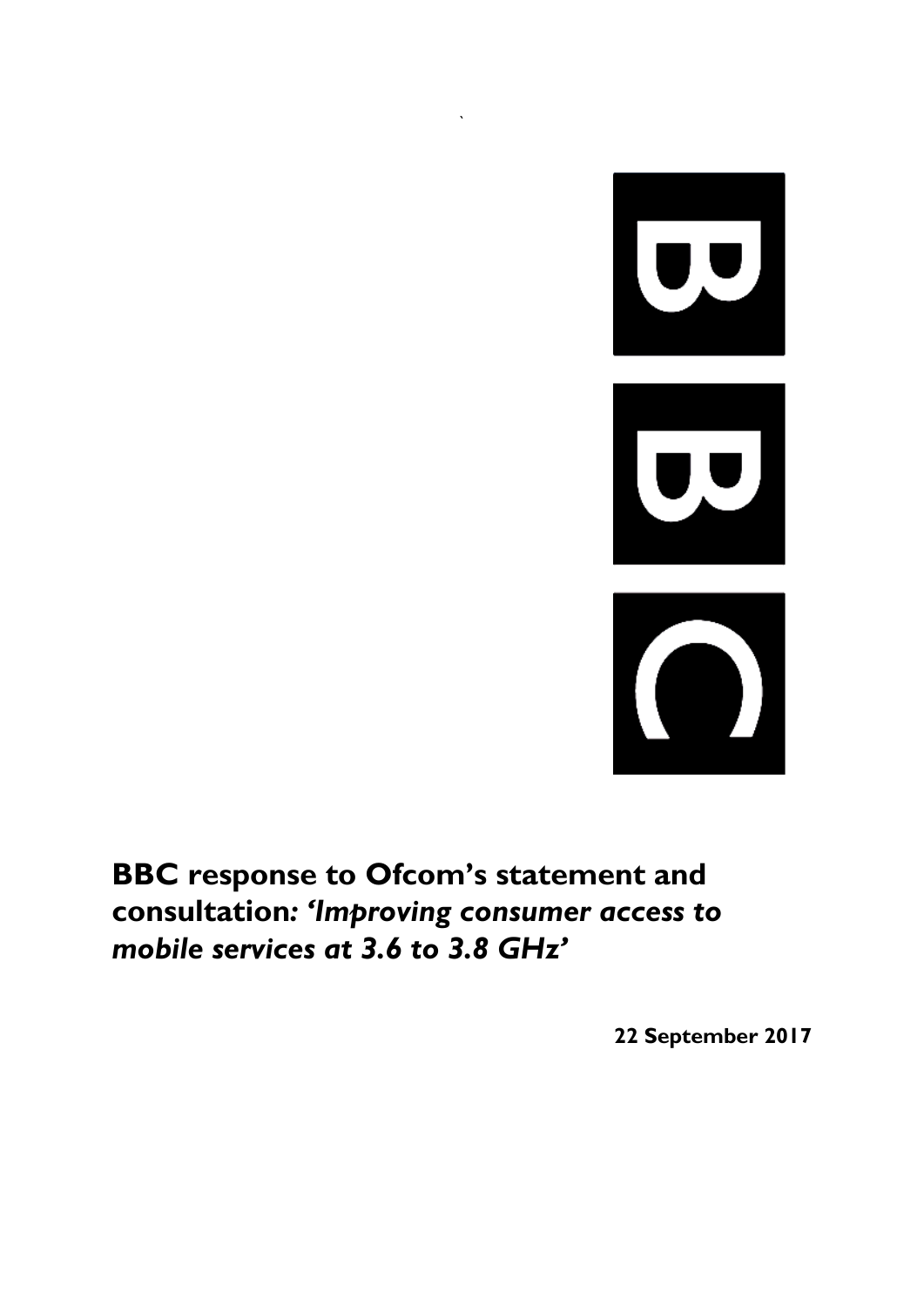

**BBC response to Ofcom's statement and consultation***: 'Improving consumer access to mobile services at 3.6 to 3.8 GHz'*

`

**22 September 2017**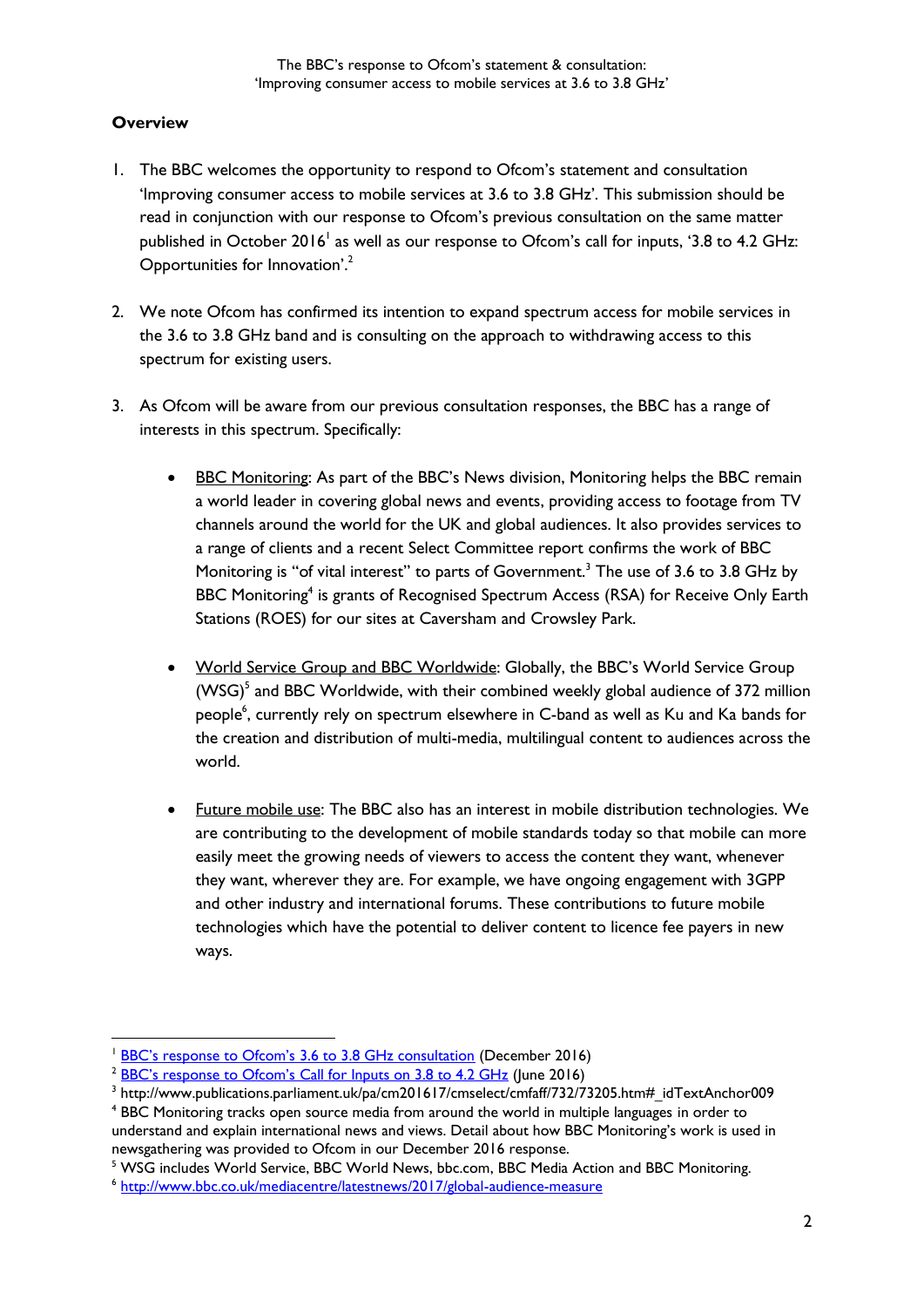## **Overview**

-

- 1. The BBC welcomes the opportunity to respond to Ofcom's statement and consultation 'Improving consumer access to mobile services at 3.6 to 3.8 GHz'. This submission should be read in conjunction with our response to Ofcom's previous consultation on the same matter published in October 2016<sup>1</sup> as well as our response to Ofcom's call for inputs, '3.8 to 4.2 GHz: Opportunities for Innovation'.<sup>2</sup>
- 2. We note Ofcom has confirmed its intention to expand spectrum access for mobile services in the 3.6 to 3.8 GHz band and is consulting on the approach to withdrawing access to this spectrum for existing users.
- 3. As Ofcom will be aware from our previous consultation responses, the BBC has a range of interests in this spectrum. Specifically:
	- BBC Monitoring: As part of the BBC's News division, Monitoring helps the BBC remain a world leader in covering global news and events, providing access to footage from TV channels around the world for the UK and global audiences. It also provides services to a range of clients and a recent Select Committee report confirms the work of BBC Monitoring is "of vital interest" to parts of Government.<sup>3</sup> The use of 3.6 to 3.8 GHz by BBC Monitoring<sup>4</sup> is grants of Recognised Spectrum Access (RSA) for Receive Only Earth Stations (ROES) for our sites at Caversham and Crowsley Park.
	- World Service Group and BBC Worldwide: Globally, the BBC's World Service Group (WSG)<sup>5</sup> and BBC Worldwide, with their combined weekly global audience of 372 million people<sup>6</sup>, currently rely on spectrum elsewhere in C-band as well as Ku and Ka bands for the creation and distribution of multi-media, multilingual content to audiences across the world.
	- Future mobile use: The BBC also has an interest in mobile distribution technologies. We are contributing to the development of mobile standards today so that mobile can more easily meet the growing needs of viewers to access the content they want, whenever they want, wherever they are. For example, we have ongoing engagement with 3GPP and other industry and international forums. These contributions to future mobile technologies which have the potential to deliver content to licence fee payers in new ways.

<sup>&</sup>lt;sup>1</sup> [BBC's response to Ofcom's 3.6 to 3.8 GHz consultation](https://www.ofcom.org.uk/__data/assets/pdf_file/0032/96890/BBC.pdf) (December 2016)

<sup>&</sup>lt;sup>2</sup> [BBC's response to Ofcom's Call for Inputs on 3.8 to 4.2 GHz](https://www.ofcom.org.uk/__data/assets/pdf_file/0026/78308/bbc.pdf.pdf) (June 2016)

 $^3$  http://www.publications.parliament.uk/pa/cm201617/cmselect/cmfaff/732/73205.htm#\_idTextAnchor009

<sup>4</sup> BBC Monitoring tracks open source media from around the world in multiple languages in order to understand and explain international news and views. Detail about how BBC Monitoring's work is used in newsgathering was provided to Ofcom in our December 2016 response.

<sup>5</sup> WSG includes World Service, BBC World News, bbc.com, BBC Media Action and BBC Monitoring.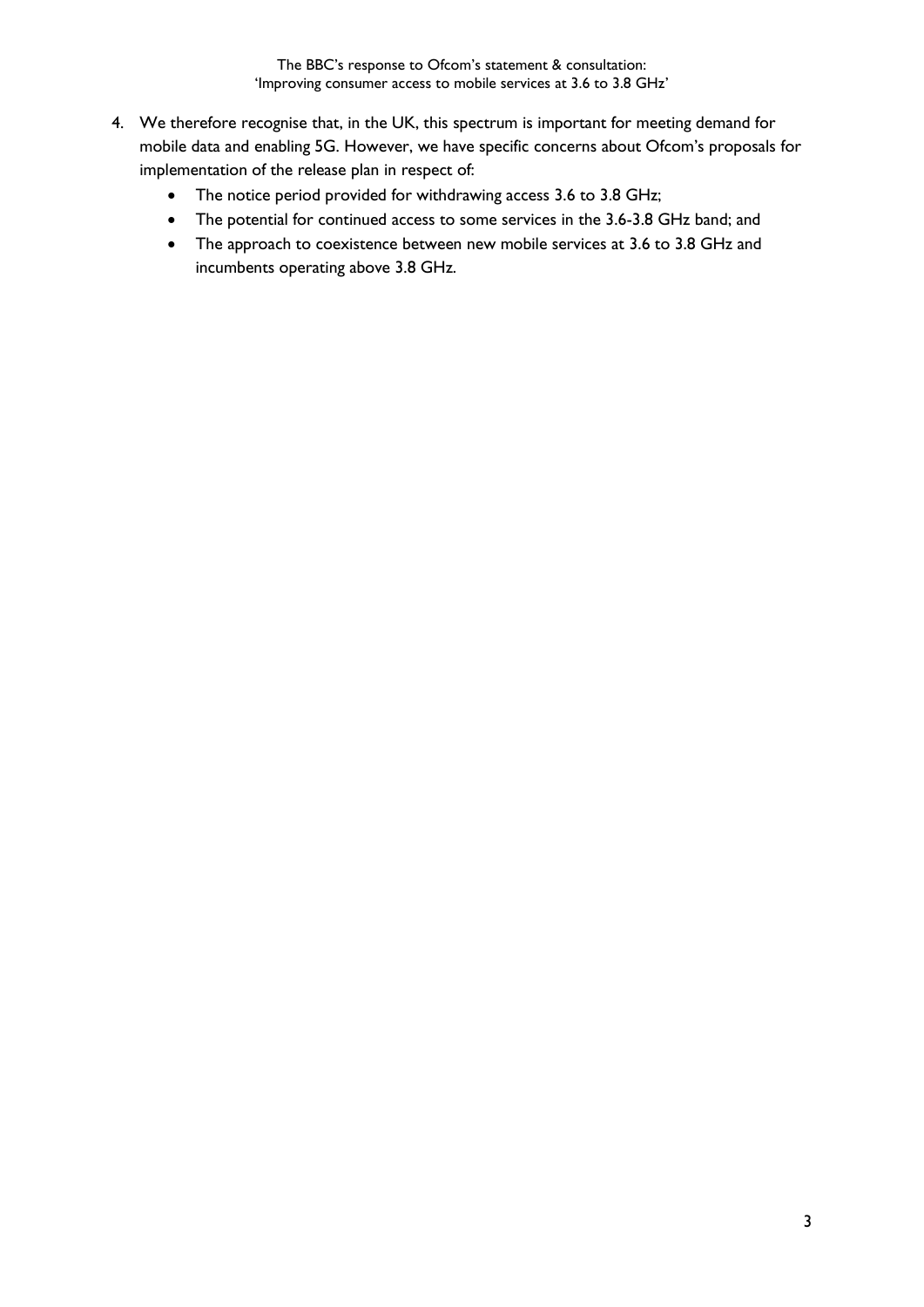- 4. We therefore recognise that, in the UK, this spectrum is important for meeting demand for mobile data and enabling 5G. However, we have specific concerns about Ofcom's proposals for implementation of the release plan in respect of:
	- The notice period provided for withdrawing access 3.6 to 3.8 GHz;
	- The potential for continued access to some services in the 3.6-3.8 GHz band; and
	- The approach to coexistence between new mobile services at 3.6 to 3.8 GHz and incumbents operating above 3.8 GHz.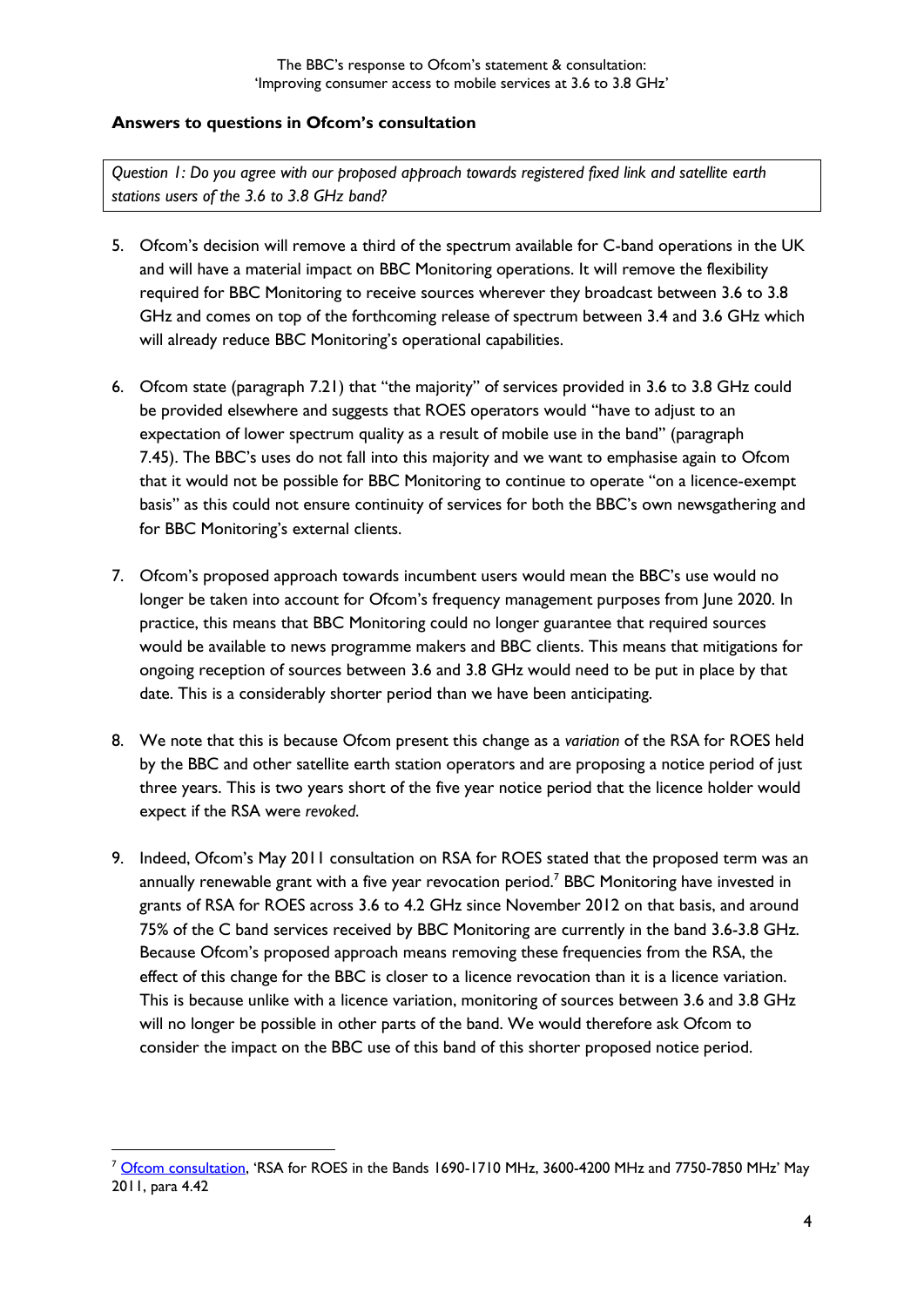## **Answers to questions in Ofcom's consultation**

*Question 1: Do you agree with our proposed approach towards registered fixed link and satellite earth stations users of the 3.6 to 3.8 GHz band?*

- 5. Ofcom's decision will remove a third of the spectrum available for C-band operations in the UK and will have a material impact on BBC Monitoring operations. It will remove the flexibility required for BBC Monitoring to receive sources wherever they broadcast between 3.6 to 3.8 GHz and comes on top of the forthcoming release of spectrum between 3.4 and 3.6 GHz which will already reduce BBC Monitoring's operational capabilities.
- 6. Ofcom state (paragraph 7.21) that "the majority" of services provided in 3.6 to 3.8 GHz could be provided elsewhere and suggests that ROES operators would "have to adjust to an expectation of lower spectrum quality as a result of mobile use in the band" (paragraph 7.45). The BBC's uses do not fall into this majority and we want to emphasise again to Ofcom that it would not be possible for BBC Monitoring to continue to operate "on a licence-exempt basis" as this could not ensure continuity of services for both the BBC's own newsgathering and for BBC Monitoring's external clients.
- 7. Ofcom's proposed approach towards incumbent users would mean the BBC's use would no longer be taken into account for Ofcom's frequency management purposes from June 2020. In practice, this means that BBC Monitoring could no longer guarantee that required sources would be available to news programme makers and BBC clients. This means that mitigations for ongoing reception of sources between 3.6 and 3.8 GHz would need to be put in place by that date. This is a considerably shorter period than we have been anticipating.
- 8. We note that this is because Ofcom present this change as a *variation* of the RSA for ROES held by the BBC and other satellite earth station operators and are proposing a notice period of just three years. This is two years short of the five year notice period that the licence holder would expect if the RSA were *revoked*.
- 9. Indeed, Ofcom's May 2011 consultation on RSA for ROES stated that the proposed term was an annually renewable grant with a five year revocation period.<sup>7</sup> BBC Monitoring have invested in grants of RSA for ROES across 3.6 to 4.2 GHz since November 2012 on that basis, and around 75% of the C band services received by BBC Monitoring are currently in the band 3.6-3.8 GHz. Because Ofcom's proposed approach means removing these frequencies from the RSA, the effect of this change for the BBC is closer to a licence revocation than it is a licence variation. This is because unlike with a licence variation, monitoring of sources between 3.6 and 3.8 GHz will no longer be possible in other parts of the band. We would therefore ask Ofcom to consider the impact on the BBC use of this band of this shorter proposed notice period.

-

<sup>7</sup> [Ofcom consultation](https://www.ofcom.org.uk/__data/assets/pdf_file/0012/51240/condoc.pdf), 'RSA for ROES in the Bands 1690-1710 MHz, 3600-4200 MHz and 7750-7850 MHz' May 2011, para 4.42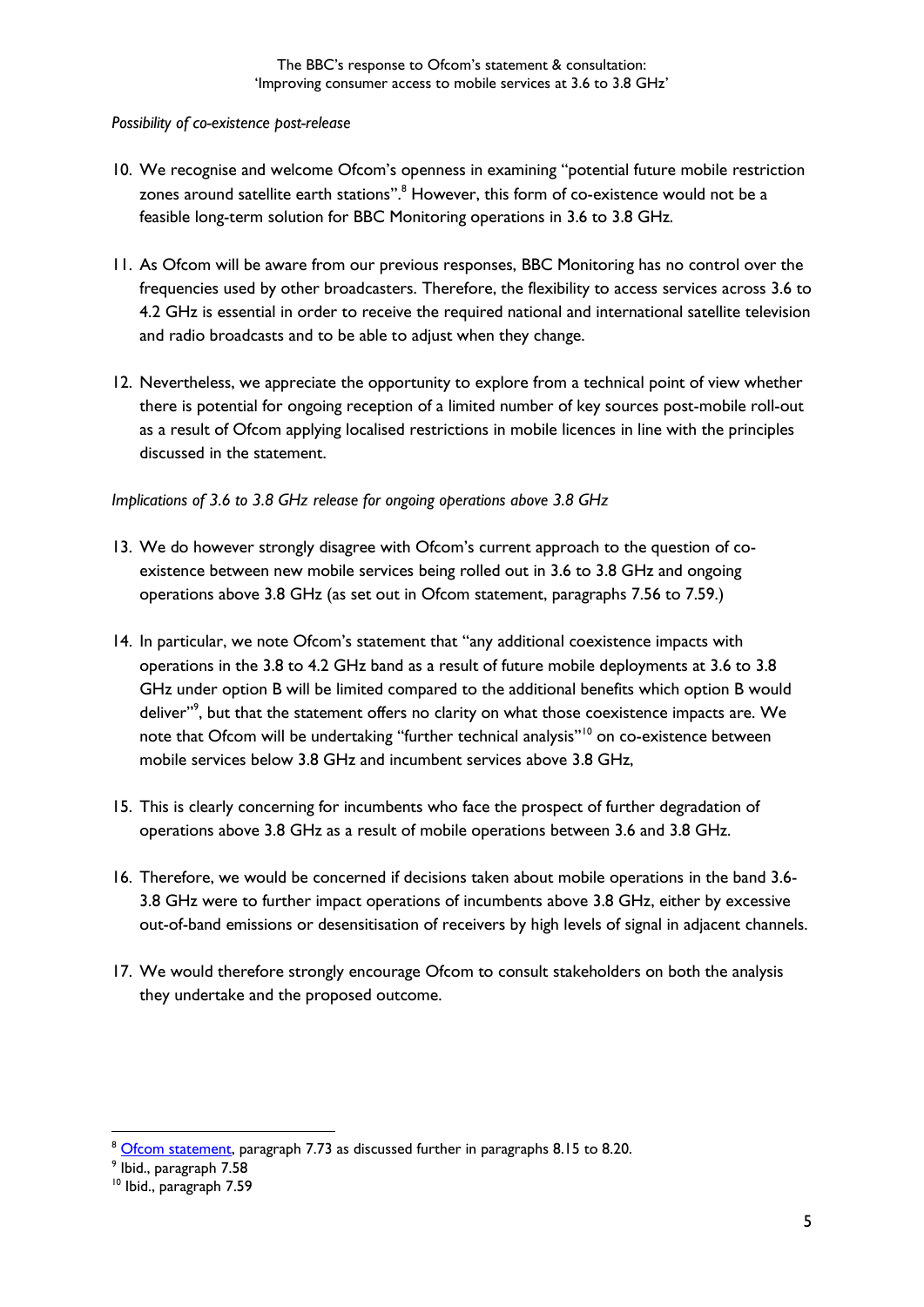## *Possibility of co-existence post-release*

- 10. We recognise and welcome Ofcom's openness in examining "potential future mobile restriction zones around satellite earth stations".<sup>8</sup> However, this form of co-existence would not be a feasible long-term solution for BBC Monitoring operations in 3.6 to 3.8 GHz.
- 11. As Ofcom will be aware from our previous responses, BBC Monitoring has no control over the frequencies used by other broadcasters. Therefore, the flexibility to access services across 3.6 to 4.2 GHz is essential in order to receive the required national and international satellite television and radio broadcasts and to be able to adjust when they change.
- 12. Nevertheless, we appreciate the opportunity to explore from a technical point of view whether there is potential for ongoing reception of a limited number of key sources post-mobile roll-out as a result of Ofcom applying localised restrictions in mobile licences in line with the principles discussed in the statement.

*Implications of 3.6 to 3.8 GHz release for ongoing operations above 3.8 GHz*

- 13. We do however strongly disagree with Ofcom's current approach to the question of coexistence between new mobile services being rolled out in 3.6 to 3.8 GHz and ongoing operations above 3.8 GHz (as set out in Ofcom statement, paragraphs 7.56 to 7.59.)
- 14. In particular, we note Ofcom's statement that "any additional coexistence impacts with operations in the 3.8 to 4.2 GHz band as a result of future mobile deployments at 3.6 to 3.8 GHz under option B will be limited compared to the additional benefits which option B would deliver"<sup>9</sup>, but that the statement offers no clarity on what those coexistence impacts are. We note that Ofcom will be undertaking "further technical analysis"<sup>10</sup> on co-existence between mobile services below 3.8 GHz and incumbent services above 3.8 GHz,
- 15. This is clearly concerning for incumbents who face the prospect of further degradation of operations above 3.8 GHz as a result of mobile operations between 3.6 and 3.8 GHz.
- 16. Therefore, we would be concerned if decisions taken about mobile operations in the band 3.6- 3.8 GHz were to further impact operations of incumbents above 3.8 GHz, either by excessive out-of-band emissions or desensitisation of receivers by high levels of signal in adjacent channels.
- 17. We would therefore strongly encourage Ofcom to consult stakeholders on both the analysis they undertake and the proposed outcome.

-

<sup>&</sup>lt;sup>8</sup> [Ofcom statement,](https://www.ofcom.org.uk/__data/assets/pdf_file/0017/103355/3-6-3-8ghz-statement.pdf) paragraph 7.73 as discussed further in paragraphs 8.15 to 8.20.

<sup>9</sup> Ibid., paragraph 7.58

<sup>10</sup> Ibid., paragraph 7.59